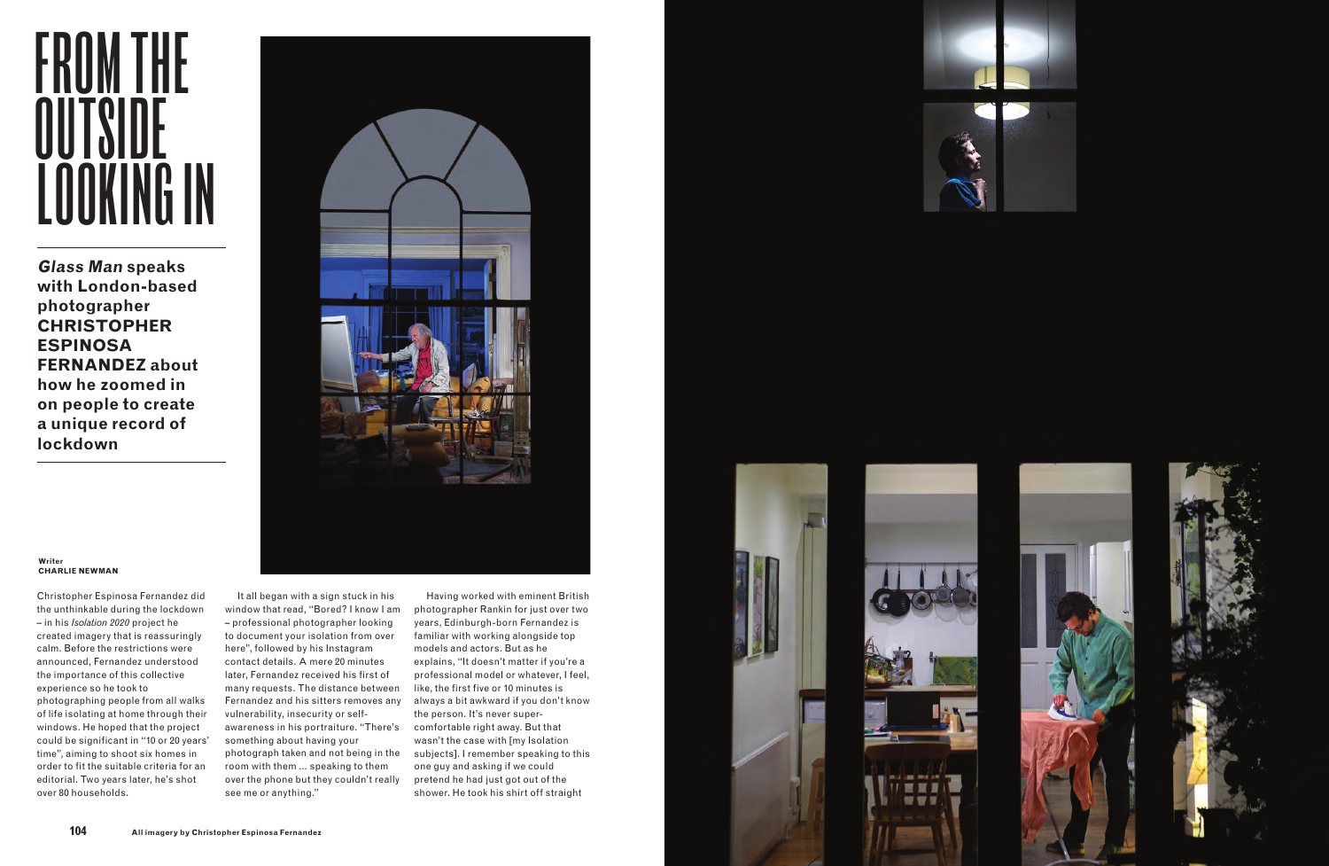Christopher Espinosa Fernandez did the unthinkable during the lockdown – in his *Isolation 2020* project he created imagery that is reassuringly calm. Before the restrictions were announced, Fernandez understood the importance of this collective experience so he took to photographing people from all walks of life isolating at home through their windows. He hoped that the project could be significant in "10 or 20 years' time", aiming to shoot six homes in order to fit the suitable criteria for an editorial. Two years later, he's shot over 80 households.

## FROM THE **OUTSIDE** LOOKING IN

It all began with a sign stuck in his window that read, "Bored? I know I am – professional photographer looking to document your isolation from over here", followed by his Instagram contact details. A mere 20 minutes later, Fernandez received his first of many requests. The distance between Fernandez and his sitters removes any vulnerability, insecurity or selfawareness in his portraiture. "There's something about having your photograph taken and not being in the room with them … speaking to them over the phone but they couldn't really see me or anything."







Having worked with eminent British photographer Rankin for just over two years, Edinburgh-born Fernandez is familiar with working alongside top models and actors. But as he explains, "It doesn't matter if you're a professional model or whatever, I feel, like, the first five or 10 minutes is always a bit awkward if you don't know the person. It's never supercomfortable right away. But that wasn't the case with [my Isolation subjects]. I remember speaking to this one guy and asking if we could pretend he had just got out of the shower. He took his shirt off straight





**Glass Man speaks with London-based photographer CHRISTOPHER ESPINOSA FERNANDEZ about how he zoomed in on people to create a unique record of lockdown**



## **Writer CHARLIE NEWMAN**